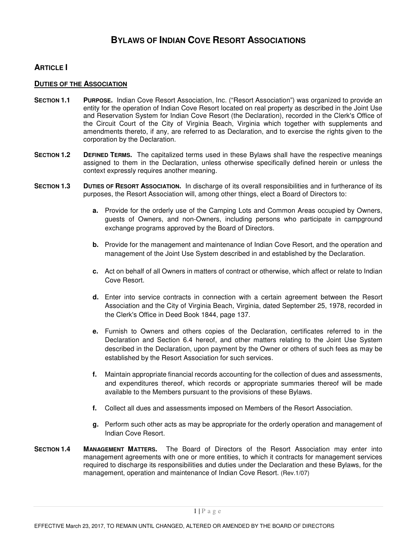# **ARTICLE I**

## **DUTIES OF THE ASSOCIATION**

- **SECTION 1.1 PURPOSE.** Indian Cove Resort Association, Inc. ("Resort Association") was organized to provide an entity for the operation of Indian Cove Resort located on real property as described in the Joint Use and Reservation System for Indian Cove Resort (the Declaration), recorded in the Clerk's Office of the Circuit Court of the City of Virginia Beach, Virginia which together with supplements and amendments thereto, if any, are referred to as Declaration, and to exercise the rights given to the corporation by the Declaration.
- **SECTION 1.2 DEFINED TERMS.** The capitalized terms used in these Bylaws shall have the respective meanings assigned to them in the Declaration, unless otherwise specifically defined herein or unless the context expressly requires another meaning.
- **SECTION 1.3 DUTIES OF RESORT ASSOCIATION.** In discharge of its overall responsibilities and in furtherance of its purposes, the Resort Association will, among other things, elect a Board of Directors to:
	- **a.** Provide for the orderly use of the Camping Lots and Common Areas occupied by Owners, guests of Owners, and non-Owners, including persons who participate in campground exchange programs approved by the Board of Directors.
	- **b.** Provide for the management and maintenance of Indian Cove Resort, and the operation and management of the Joint Use System described in and established by the Declaration.
	- **c.** Act on behalf of all Owners in matters of contract or otherwise, which affect or relate to Indian Cove Resort.
	- **d.** Enter into service contracts in connection with a certain agreement between the Resort Association and the City of Virginia Beach, Virginia, dated September 25, 1978, recorded in the Clerk's Office in Deed Book 1844, page 137.
	- **e.** Furnish to Owners and others copies of the Declaration, certificates referred to in the Declaration and Section 6.4 hereof, and other matters relating to the Joint Use System described in the Declaration, upon payment by the Owner or others of such fees as may be established by the Resort Association for such services.
	- **f.** Maintain appropriate financial records accounting for the collection of dues and assessments, and expenditures thereof, which records or appropriate summaries thereof will be made available to the Members pursuant to the provisions of these Bylaws.
	- **f.** Collect all dues and assessments imposed on Members of the Resort Association.
	- **g.** Perform such other acts as may be appropriate for the orderly operation and management of Indian Cove Resort.
- **SECTION 1.4 MANAGEMENT MATTERS.** The Board of Directors of the Resort Association may enter into management agreements with one or more entities, to which it contracts for management services required to discharge its responsibilities and duties under the Declaration and these Bylaws, for the management, operation and maintenance of Indian Cove Resort. (Rev.1/07)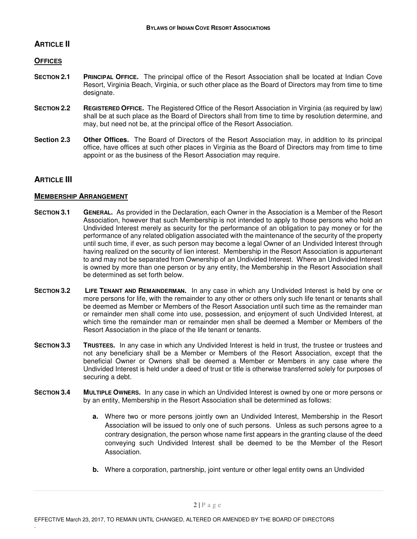# **ARTICLE II**

## **OFFICES**

- **SECTION 2.1 PRINCIPAL OFFICE.** The principal office of the Resort Association shall be located at Indian Cove Resort, Virginia Beach, Virginia, or such other place as the Board of Directors may from time to time designate.
- **SECTION 2.2 REGISTERED OFFICE.** The Registered Office of the Resort Association in Virginia (as required by law) shall be at such place as the Board of Directors shall from time to time by resolution determine, and may, but need not be, at the principal office of the Resort Association.
- **Section 2.3 Other Offices.** The Board of Directors of the Resort Association may, in addition to its principal office, have offices at such other places in Virginia as the Board of Directors may from time to time appoint or as the business of the Resort Association may require.

## **ARTICLE III**

.

## **MEMBERSHIP ARRANGEMENT**

- **SECTION 3.1 GENERAL.** As provided in the Declaration, each Owner in the Association is a Member of the Resort Association, however that such Membership is not intended to apply to those persons who hold an Undivided Interest merely as security for the performance of an obligation to pay money or for the performance of any related obligation associated with the maintenance of the security of the property until such time, if ever, as such person may become a legal Owner of an Undivided Interest through having realized on the security of lien interest. Membership in the Resort Association is appurtenant to and may not be separated from Ownership of an Undivided Interest. Where an Undivided Interest is owned by more than one person or by any entity, the Membership in the Resort Association shall be determined as set forth below.
- **SECTION 3.2 LIFE TENANT AND REMAINDERMAN.** In any case in which any Undivided Interest is held by one or more persons for life, with the remainder to any other or others only such life tenant or tenants shall be deemed as Member or Members of the Resort Association until such time as the remainder man or remainder men shall come into use, possession, and enjoyment of such Undivided Interest, at which time the remainder man or remainder men shall be deemed a Member or Members of the Resort Association in the place of the life tenant or tenants.
- **SECTION 3.3 TRUSTEES.** In any case in which any Undivided Interest is held in trust, the trustee or trustees and not any beneficiary shall be a Member or Members of the Resort Association, except that the beneficial Owner or Owners shall be deemed a Member or Members in any case where the Undivided Interest is held under a deed of trust or title is otherwise transferred solely for purposes of securing a debt.
- **SECTION 3.4 MULTIPLE OWNERS.** In any case in which an Undivided Interest is owned by one or more persons or by an entity, Membership in the Resort Association shall be determined as follows:
	- **a.** Where two or more persons jointly own an Undivided Interest, Membership in the Resort Association will be issued to only one of such persons. Unless as such persons agree to a contrary designation, the person whose name first appears in the granting clause of the deed conveying such Undivided Interest shall be deemed to be the Member of the Resort Association.
	- **b.** Where a corporation, partnership, joint venture or other legal entity owns an Undivided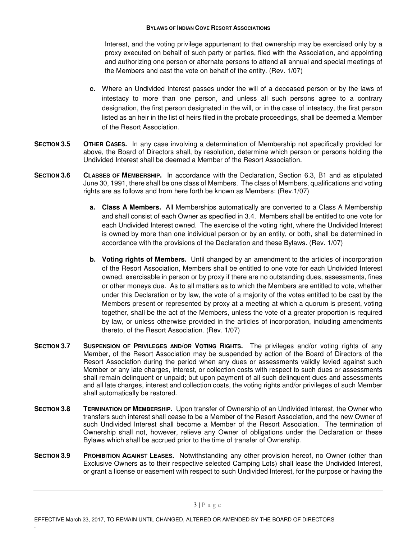Interest, and the voting privilege appurtenant to that ownership may be exercised only by a proxy executed on behalf of such party or parties, filed with the Association, and appointing and authorizing one person or alternate persons to attend all annual and special meetings of the Members and cast the vote on behalf of the entity. (Rev. 1/07)

- **c.** Where an Undivided Interest passes under the will of a deceased person or by the laws of intestacy to more than one person, and unless all such persons agree to a contrary designation, the first person designated in the will, or in the case of intestacy, the first person listed as an heir in the list of heirs filed in the probate proceedings, shall be deemed a Member of the Resort Association.
- **SECTION 3.5 OTHER CASES.** In any case involving a determination of Membership not specifically provided for above, the Board of Directors shall, by resolution, determine which person or persons holding the Undivided Interest shall be deemed a Member of the Resort Association.
- **SECTION 3.6 CLASSES OF MEMBERSHIP.** In accordance with the Declaration, Section 6.3, B1 and as stipulated June 30, 1991, there shall be one class of Members. The class of Members, qualifications and voting rights are as follows and from here forth be known as Members: (Rev.1/07)
	- **a. Class A Members.** All Memberships automatically are converted to a Class A Membership and shall consist of each Owner as specified in 3.4. Members shall be entitled to one vote for each Undivided Interest owned. The exercise of the voting right, where the Undivided Interest is owned by more than one individual person or by an entity, or both, shall be determined in accordance with the provisions of the Declaration and these Bylaws. (Rev. 1/07)
	- **b. Voting rights of Members.** Until changed by an amendment to the articles of incorporation of the Resort Association, Members shall be entitled to one vote for each Undivided Interest owned, exercisable in person or by proxy if there are no outstanding dues, assessments, fines or other moneys due. As to all matters as to which the Members are entitled to vote, whether under this Declaration or by law, the vote of a majority of the votes entitled to be cast by the Members present or represented by proxy at a meeting at which a quorum is present, voting together, shall be the act of the Members, unless the vote of a greater proportion is required by law, or unless otherwise provided in the articles of incorporation, including amendments thereto, of the Resort Association. (Rev. 1/07)
- **SECTION 3.7 SUSPENSION OF PRIVILEGES AND/OR VOTING RIGHTS.** The privileges and/or voting rights of any Member, of the Resort Association may be suspended by action of the Board of Directors of the Resort Association during the period when any dues or assessments validly levied against such Member or any late charges, interest, or collection costs with respect to such dues or assessments shall remain delinquent or unpaid; but upon payment of all such delinquent dues and assessments and all late charges, interest and collection costs, the voting rights and/or privileges of such Member shall automatically be restored.
- **SECTION 3.8 TERMINATION OF MEMBERSHIP.** Upon transfer of Ownership of an Undivided Interest, the Owner who transfers such interest shall cease to be a Member of the Resort Association, and the new Owner of such Undivided Interest shall become a Member of the Resort Association. The termination of Ownership shall not, however, relieve any Owner of obligations under the Declaration or these Bylaws which shall be accrued prior to the time of transfer of Ownership.
- **SECTION 3.9 PROHIBITION AGAINST LEASES.** Notwithstanding any other provision hereof, no Owner (other than Exclusive Owners as to their respective selected Camping Lots) shall lease the Undivided Interest, or grant a license or easement with respect to such Undivided Interest, for the purpose or having the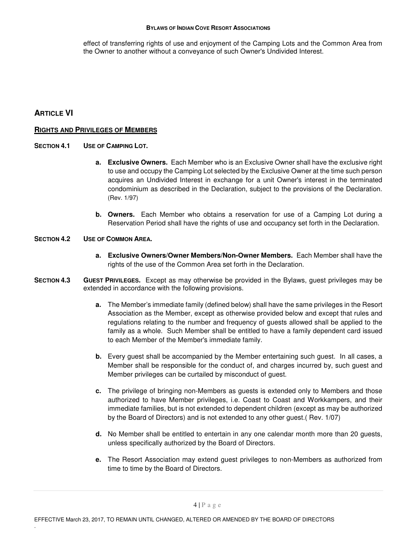effect of transferring rights of use and enjoyment of the Camping Lots and the Common Area from the Owner to another without a conveyance of such Owner's Undivided Interest.

## **ARTICLE VI**

.

### **RIGHTS AND PRIVILEGES OF MEMBERS**

### **SECTION 4.1 USE OF CAMPING LOT.**

- **a. Exclusive Owners.** Each Member who is an Exclusive Owner shall have the exclusive right to use and occupy the Camping Lot selected by the Exclusive Owner at the time such person acquires an Undivided Interest in exchange for a unit Owner's interest in the terminated condominium as described in the Declaration, subject to the provisions of the Declaration. (Rev. 1/97)
- **b. Owners.** Each Member who obtains a reservation for use of a Camping Lot during a Reservation Period shall have the rights of use and occupancy set forth in the Declaration.

#### **SECTION 4.2 USE OF COMMON AREA.**

- **a. Exclusive Owners/Owner Members/Non-Owner Members.** Each Member shall have the rights of the use of the Common Area set forth in the Declaration.
- **SECTION 4.3 GUEST PRIVILEGES.** Except as may otherwise be provided in the Bylaws, guest privileges may be extended in accordance with the following provisions.
	- **a.** The Member's immediate family (defined below) shall have the same privileges in the Resort Association as the Member, except as otherwise provided below and except that rules and regulations relating to the number and frequency of guests allowed shall be applied to the family as a whole. Such Member shall be entitled to have a family dependent card issued to each Member of the Member's immediate family.
	- **b.** Every guest shall be accompanied by the Member entertaining such guest. In all cases, a Member shall be responsible for the conduct of, and charges incurred by, such guest and Member privileges can be curtailed by misconduct of guest.
	- **c.** The privilege of bringing non-Members as guests is extended only to Members and those authorized to have Member privileges, i.e. Coast to Coast and Workkampers, and their immediate families, but is not extended to dependent children (except as may be authorized by the Board of Directors) and is not extended to any other guest.( Rev. 1/07)
	- **d.** No Member shall be entitled to entertain in any one calendar month more than 20 guests, unless specifically authorized by the Board of Directors.
	- **e.** The Resort Association may extend guest privileges to non-Members as authorized from time to time by the Board of Directors.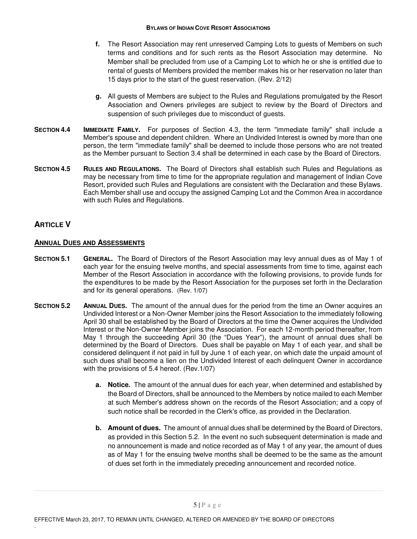- **f.** The Resort Association may rent unreserved Camping Lots to guests of Members on such terms and conditions and for such rents as the Resort Association may determine. No Member shall be precluded from use of a Camping Lot to which he or she is entitled due to rental of guests of Members provided the member makes his or her reservation no later than 15 days prior to the start of the guest reservation. (Rev. 2/12)
- **g.** All guests of Members are subject to the Rules and Regulations promulgated by the Resort Association and Owners privileges are subject to review by the Board of Directors and suspension of such privileges due to misconduct of guests.
- **SECTION 4.4 IMMEDIATE FAMILY.** For purposes of Section 4.3, the term "immediate family" shall include a Member's spouse and dependent children. Where an Undivided Interest is owned by more than one person, the term "immediate family" shall be deemed to include those persons who are not treated as the Member pursuant to Section 3.4 shall be determined in each case by the Board of Directors.
- **SECTION 4.5 RULES AND REGULATIONS.** The Board of Directors shall establish such Rules and Regulations as may be necessary from time to time for the appropriate regulation and management of Indian Cove Resort, provided such Rules and Regulations are consistent with the Declaration and these Bylaws. Each Member shall use and occupy the assigned Camping Lot and the Common Area in accordance with such Rules and Regulations.

## **ARTICLE V**

.

## **ANNUAL DUES AND ASSESSMENTS**

- **SECTION 5.1 GENERAL.** The Board of Directors of the Resort Association may levy annual dues as of May 1 of each year for the ensuing twelve months, and special assessments from time to time, against each Member of the Resort Association in accordance with the following provisions, to provide funds for the expenditures to be made by the Resort Association for the purposes set forth in the Declaration and for its general operations. (Rev. 1/07)
- **SECTION 5.2 ANNUAL DUES.** The amount of the annual dues for the period from the time an Owner acquires an Undivided Interest or a Non-Owner Member joins the Resort Association to the immediately following April 30 shall be established by the Board of Directors at the time the Owner acquires the Undivided Interest or the Non-Owner Member joins the Association. For each 12-month period thereafter, from May 1 through the succeeding April 30 (the "Dues Year"), the amount of annual dues shall be determined by the Board of Directors. Dues shall be payable on May 1 of each year, and shall be considered delinquent if not paid in full by June 1 of each year, on which date the unpaid amount of such dues shall become a lien on the Undivided Interest of each delinquent Owner in accordance with the provisions of 5.4 hereof. (Rev.1/07)
	- **a. Notice.** The amount of the annual dues for each year, when determined and established by the Board of Directors, shall be announced to the Members by notice mailed to each Member at such Member's address shown on the records of the Resort Association; and a copy of such notice shall be recorded in the Clerk's office, as provided in the Declaration.
	- **b. Amount of dues.** The amount of annual dues shall be determined by the Board of Directors, as provided in this Section 5.2. In the event no such subsequent determination is made and no announcement is made and notice recorded as of May 1 of any year, the amount of dues as of May 1 for the ensuing twelve months shall be deemed to be the same as the amount of dues set forth in the immediately preceding announcement and recorded notice.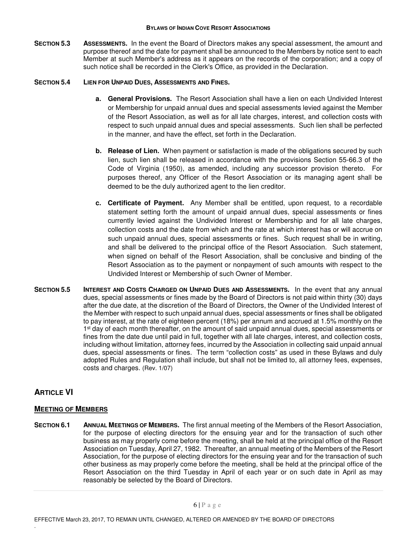**SECTION 5.3 ASSESSMENTS.** In the event the Board of Directors makes any special assessment, the amount and purpose thereof and the date for payment shall be announced to the Members by notice sent to each Member at such Member's address as it appears on the records of the corporation; and a copy of such notice shall be recorded in the Clerk's Office, as provided in the Declaration.

### **SECTION 5.4 LIEN FOR UNPAID DUES, ASSESSMENTS AND FINES.**

- **a. General Provisions.** The Resort Association shall have a lien on each Undivided Interest or Membership for unpaid annual dues and special assessments levied against the Member of the Resort Association, as well as for all late charges, interest, and collection costs with respect to such unpaid annual dues and special assessments. Such lien shall be perfected in the manner, and have the effect, set forth in the Declaration.
- **b. Release of Lien.** When payment or satisfaction is made of the obligations secured by such lien, such lien shall be released in accordance with the provisions Section 55-66.3 of the Code of Virginia (1950), as amended, including any successor provision thereto. For purposes thereof, any Officer of the Resort Association or its managing agent shall be deemed to be the duly authorized agent to the lien creditor.
- **c. Certificate of Payment.** Any Member shall be entitled, upon request, to a recordable statement setting forth the amount of unpaid annual dues, special assessments or fines currently levied against the Undivided Interest or Membership and for all late charges, collection costs and the date from which and the rate at which interest has or will accrue on such unpaid annual dues, special assessments or fines. Such request shall be in writing, and shall be delivered to the principal office of the Resort Association. Such statement, when signed on behalf of the Resort Association, shall be conclusive and binding of the Resort Association as to the payment or nonpayment of such amounts with respect to the Undivided Interest or Membership of such Owner of Member.
- **SECTION 5.5 INTEREST AND COSTS CHARGED ON UNPAID DUES AND ASSESSMENTS.** In the event that any annual dues, special assessments or fines made by the Board of Directors is not paid within thirty (30) days after the due date, at the discretion of the Board of Directors, the Owner of the Undivided Interest of the Member with respect to such unpaid annual dues, special assessments or fines shall be obligated to pay interest, at the rate of eighteen percent (18%) per annum and accrued at 1.5% monthly on the 1<sup>st</sup> day of each month thereafter, on the amount of said unpaid annual dues, special assessments or fines from the date due until paid in full, together with all late charges, interest, and collection costs, including without limitation, attorney fees, incurred by the Association in collecting said unpaid annual dues, special assessments or fines. The term "collection costs" as used in these Bylaws and duly adopted Rules and Regulation shall include, but shall not be limited to, all attorney fees, expenses, costs and charges. (Rev. 1/07)

# **ARTICLE VI**

.

### **MEETING OF MEMBERS**

**SECTION 6.1** ANNUAL MEETINGS OF MEMBERS. The first annual meeting of the Members of the Resort Association, for the purpose of electing directors for the ensuing year and for the transaction of such other business as may properly come before the meeting, shall be held at the principal office of the Resort Association on Tuesday, April 27, 1982. Thereafter, an annual meeting of the Members of the Resort Association, for the purpose of electing directors for the ensuing year and for the transaction of such other business as may properly come before the meeting, shall be held at the principal office of the Resort Association on the third Tuesday in April of each year or on such date in April as may reasonably be selected by the Board of Directors.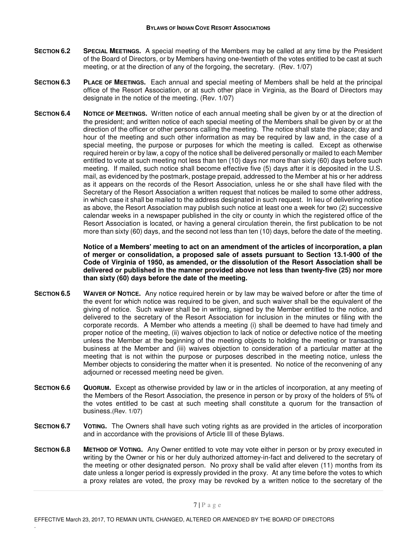- **SECTION 6.2 SPECIAL MEETINGS.** A special meeting of the Members may be called at any time by the President of the Board of Directors, or by Members having one-twentieth of the votes entitled to be cast at such meeting, or at the direction of any of the forgoing, the secretary. (Rev. 1/07)
- **SECTION 6.3 PLACE OF MEETINGS.** Each annual and special meeting of Members shall be held at the principal office of the Resort Association, or at such other place in Virginia, as the Board of Directors may designate in the notice of the meeting. (Rev. 1/07)
- **SECTION 6.4 NOTICE OF MEETINGS.** Written notice of each annual meeting shall be given by or at the direction of the president; and written notice of each special meeting of the Members shall be given by or at the direction of the officer or other persons calling the meeting. The notice shall state the place; day and hour of the meeting and such other information as may be required by law and, in the case of a special meeting, the purpose or purposes for which the meeting is called. Except as otherwise required herein or by law, a copy of the notice shall be delivered personally or mailed to each Member entitled to vote at such meeting not less than ten (10) days nor more than sixty (60) days before such meeting. If mailed, such notice shall become effective five (5) days after it is deposited in the U.S. mail, as evidenced by the postmark, postage prepaid, addressed to the Member at his or her address as it appears on the records of the Resort Association, unless he or she shall have filed with the Secretary of the Resort Association a written request that notices be mailed to some other address, in which case it shall be mailed to the address designated in such request. In lieu of delivering notice as above, the Resort Association may publish such notice at least one a week for two (2) successive calendar weeks in a newspaper published in the city or county in which the registered office of the Resort Association is located, or having a general circulation therein, the first publication to be not more than sixty (60) days, and the second not less than ten (10) days, before the date of the meeting.

 **Notice of a Members' meeting to act on an amendment of the articles of incorporation, a plan of merger or consolidation, a proposed sale of assets pursuant to Section 13.1-900 of the Code of Virginia of 1950, as amended, or the dissolution of the Resort Association shall be delivered or published in the manner provided above not less than twenty-five (25) nor more than sixty (60) days before the date of the meeting.** 

- **SECTION 6.5 WAIVER OF NOTICE.** Any notice required herein or by law may be waived before or after the time of the event for which notice was required to be given, and such waiver shall be the equivalent of the giving of notice. Such waiver shall be in writing, signed by the Member entitled to the notice, and delivered to the secretary of the Resort Association for inclusion in the minutes or filing with the corporate records. A Member who attends a meeting (i) shall be deemed to have had timely and proper notice of the meeting, (ii) waives objection to lack of notice or defective notice of the meeting unless the Member at the beginning of the meeting objects to holding the meeting or transacting business at the Member and (iii) waives objection to consideration of a particular matter at the meeting that is not within the purpose or purposes described in the meeting notice, unless the Member objects to considering the matter when it is presented. No notice of the reconvening of any adjourned or recessed meeting need be given.
- **SECTION 6.6 QUORUM.** Except as otherwise provided by law or in the articles of incorporation, at any meeting of the Members of the Resort Association, the presence in person or by proxy of the holders of 5% of the votes entitled to be cast at such meeting shall constitute a quorum for the transaction of business.(Rev. 1/07)
- **SECTION 6.7 VOTING.** The Owners shall have such voting rights as are provided in the articles of incorporation and in accordance with the provisions of Article III of these Bylaws.
- **SECTION 6.8 METHOD OF VOTING.** Any Owner entitled to vote may vote either in person or by proxy executed in writing by the Owner or his or her duly authorized attorney-in-fact and delivered to the secretary of the meeting or other designated person. No proxy shall be valid after eleven (11) months from its date unless a longer period is expressly provided in the proxy. At any time before the votes to which a proxy relates are voted, the proxy may be revoked by a written notice to the secretary of the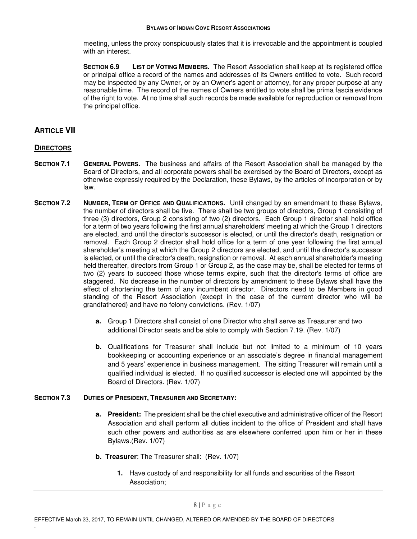meeting, unless the proxy conspicuously states that it is irrevocable and the appointment is coupled with an interest.

**SECTION 6.9 LIST OF VOTING MEMBERS.** The Resort Association shall keep at its registered office or principal office a record of the names and addresses of its Owners entitled to vote. Such record may be inspected by any Owner, or by an Owner's agent or attorney, for any proper purpose at any reasonable time. The record of the names of Owners entitled to vote shall be prima fascia evidence of the right to vote. At no time shall such records be made available for reproduction or removal from the principal office.

## **ARTICLE VII**

### **DIRECTORS**

.

- **SECTION 7.1 GENERAL POWERS.** The business and affairs of the Resort Association shall be managed by the Board of Directors, and all corporate powers shall be exercised by the Board of Directors, except as otherwise expressly required by the Declaration, these Bylaws, by the articles of incorporation or by law.
- **SECTION 7.2 NUMBER, TERM OF OFFICE AND QUALIFICATIONS.** Until changed by an amendment to these Bylaws, the number of directors shall be five. There shall be two groups of directors, Group 1 consisting of three (3) directors, Group 2 consisting of two (2) directors. Each Group 1 director shall hold office for a term of two years following the first annual shareholders' meeting at which the Group 1 directors are elected, and until the director's successor is elected, or until the director's death, resignation or removal. Each Group 2 director shall hold office for a term of one year following the first annual shareholder's meeting at which the Group 2 directors are elected, and until the director's successor is elected, or until the director's death, resignation or removal. At each annual shareholder's meeting held thereafter, directors from Group 1 or Group 2, as the case may be, shall be elected for terms of two (2) years to succeed those whose terms expire, such that the director's terms of office are staggered. No decrease in the number of directors by amendment to these Bylaws shall have the effect of shortening the term of any incumbent director. Directors need to be Members in good standing of the Resort Association (except in the case of the current director who will be grandfathered) and have no felony convictions. (Rev. 1/07)
	- **a.** Group 1 Directors shall consist of one Director who shall serve as Treasurer and two additional Director seats and be able to comply with Section 7.19. (Rev. 1/07)
	- **b.** Qualifications for Treasurer shall include but not limited to a minimum of 10 years bookkeeping or accounting experience or an associate's degree in financial management and 5 years' experience in business management. The sitting Treasurer will remain until a qualified individual is elected. If no qualified successor is elected one will appointed by the Board of Directors. (Rev. 1/07)

### **SECTION 7.3 DUTIES OF PRESIDENT, TREASURER AND SECRETARY:**

- **a. President:** The president shall be the chief executive and administrative officer of the Resort Association and shall perform all duties incident to the office of President and shall have such other powers and authorities as are elsewhere conferred upon him or her in these Bylaws.(Rev. 1/07)
- **b. Treasurer**: The Treasurer shall:(Rev. 1/07)
	- **1.** Have custody of and responsibility for all funds and securities of the Resort Association;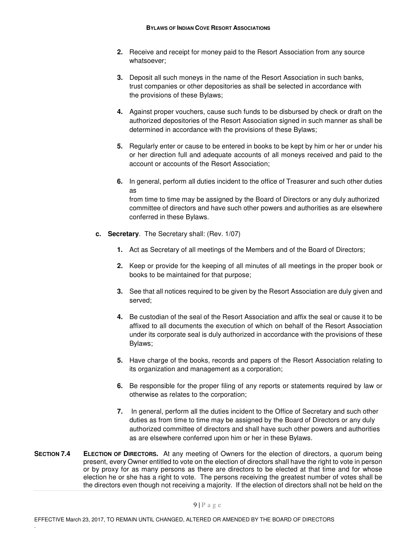- **2.** Receive and receipt for money paid to the Resort Association from any source whatsoever;
- **3.** Deposit all such moneys in the name of the Resort Association in such banks, trust companies or other depositories as shall be selected in accordance with the provisions of these Bylaws;
- **4.** Against proper vouchers, cause such funds to be disbursed by check or draft on the authorized depositories of the Resort Association signed in such manner as shall be determined in accordance with the provisions of these Bylaws;
- **5.** Regularly enter or cause to be entered in books to be kept by him or her or under his or her direction full and adequate accounts of all moneys received and paid to the account or accounts of the Resort Association;
- **6.** In general, perform all duties incident to the office of Treasurer and such other duties as from time to time may be assigned by the Board of Directors or any duly authorized committee of directors and have such other powers and authorities as are elsewhere
- **c. Secretary**. The Secretary shall: (Rev. 1/07)

conferred in these Bylaws.

- **1.** Act as Secretary of all meetings of the Members and of the Board of Directors;
- **2.** Keep or provide for the keeping of all minutes of all meetings in the proper book or books to be maintained for that purpose;
- **3.** See that all notices required to be given by the Resort Association are duly given and served;
- **4.** Be custodian of the seal of the Resort Association and affix the seal or cause it to be affixed to all documents the execution of which on behalf of the Resort Association under its corporate seal is duly authorized in accordance with the provisions of these Bylaws;
- **5.** Have charge of the books, records and papers of the Resort Association relating to its organization and management as a corporation;
- **6.** Be responsible for the proper filing of any reports or statements required by law or otherwise as relates to the corporation;
- **7.** In general, perform all the duties incident to the Office of Secretary and such other duties as from time to time may be assigned by the Board of Directors or any duly authorized committee of directors and shall have such other powers and authorities as are elsewhere conferred upon him or her in these Bylaws.
- **SECTION 7.4 ELECTION OF DIRECTORS.** At any meeting of Owners for the election of directors, a quorum being present, every Owner entitled to vote on the election of directors shall have the right to vote in person or by proxy for as many persons as there are directors to be elected at that time and for whose election he or she has a right to vote. The persons receiving the greatest number of votes shall be the directors even though not receiving a majority. If the election of directors shall not be held on the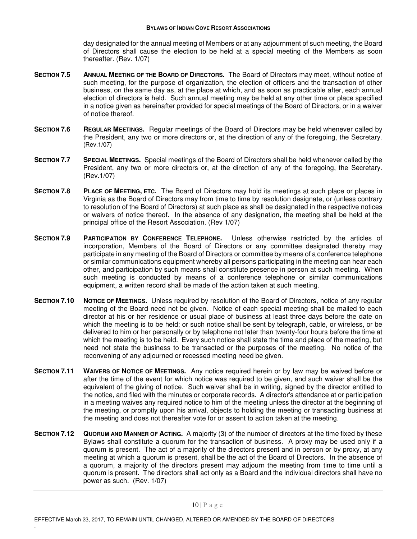day designated for the annual meeting of Members or at any adjournment of such meeting, the Board of Directors shall cause the election to be held at a special meeting of the Members as soon thereafter. (Rev. 1/07)

- **SECTION 7.5 ANNUAL MEETING OF THE BOARD OF DIRECTORS.** The Board of Directors may meet, without notice of such meeting, for the purpose of organization, the election of officers and the transaction of other business, on the same day as, at the place at which, and as soon as practicable after, each annual election of directors is held. Such annual meeting may be held at any other time or place specified in a notice given as hereinafter provided for special meetings of the Board of Directors, or in a waiver of notice thereof.
- **SECTION 7.6 REGULAR MEETINGS.** Regular meetings of the Board of Directors may be held whenever called by the President, any two or more directors or, at the direction of any of the foregoing, the Secretary. (Rev.1/07)
- **SECTION 7.7 SPECIAL MEETINGS.** Special meetings of the Board of Directors shall be held whenever called by the President, any two or more directors or, at the direction of any of the foregoing, the Secretary. (Rev.1/07)
- **SECTION 7.8 PLACE OF MEETING, ETC.** The Board of Directors may hold its meetings at such place or places in Virginia as the Board of Directors may from time to time by resolution designate, or (unless contrary to resolution of the Board of Directors) at such place as shall be designated in the respective notices or waivers of notice thereof. In the absence of any designation, the meeting shall be held at the principal office of the Resort Association. (Rev 1/07)
- **SECTION 7.9 PARTICIPATION BY CONFERENCE TELEPHONE.** Unless otherwise restricted by the articles of incorporation, Members of the Board of Directors or any committee designated thereby may participate in any meeting of the Board of Directors or committee by means of a conference telephone or similar communications equipment whereby all persons participating in the meeting can hear each other, and participation by such means shall constitute presence in person at such meeting. When such meeting is conducted by means of a conference telephone or similar communications equipment, a written record shall be made of the action taken at such meeting.
- **SECTION 7.10 NOTICE OF MEETINGS.** Unless required by resolution of the Board of Directors, notice of any regular meeting of the Board need not be given. Notice of each special meeting shall be mailed to each director at his or her residence or usual place of business at least three days before the date on which the meeting is to be held; or such notice shall be sent by telegraph, cable, or wireless, or be delivered to him or her personally or by telephone not later than twenty-four hours before the time at which the meeting is to be held. Every such notice shall state the time and place of the meeting, but need not state the business to be transacted or the purposes of the meeting. No notice of the reconvening of any adjourned or recessed meeting need be given.
- **SECTION 7.11 WAIVERS OF NOTICE OF MEETINGS.** Any notice required herein or by law may be waived before or after the time of the event for which notice was required to be given, and such waiver shall be the equivalent of the giving of notice. Such waiver shall be in writing, signed by the director entitled to the notice, and filed with the minutes or corporate records. A director's attendance at or participation in a meeting waives any required notice to him of the meeting unless the director at the beginning of the meeting, or promptly upon his arrival, objects to holding the meeting or transacting business at the meeting and does not thereafter vote for or assent to action taken at the meeting.
- **SECTION 7.12 QUORUM AND MANNER OF ACTING.** A majority (3) of the number of directors at the time fixed by these Bylaws shall constitute a quorum for the transaction of business. A proxy may be used only if a quorum is present. The act of a majority of the directors present and in person or by proxy, at any meeting at which a quorum is present, shall be the act of the Board of Directors. In the absence of a quorum, a majority of the directors present may adjourn the meeting from time to time until a quorum is present. The directors shall act only as a Board and the individual directors shall have no power as such. (Rev. 1/07)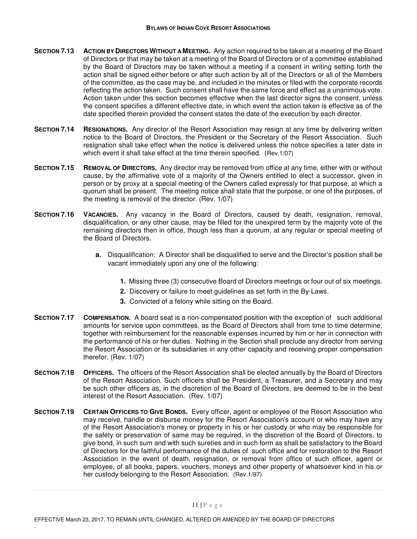- **SECTION 7.13 ACTION BY DIRECTORS WITHOUT A MEETING.** Any action required to be taken at a meeting of the Board of Directors or that may be taken at a meeting of the Board of Directors or of a committee established by the Board of Directors may be taken without a meeting if a consent in writing setting forth the action shall be signed either before or after such action by all of the Directors or all of the Members of the committee, as the case may be, and included in the minutes or filed with the corporate records reflecting the action taken. Such consent shall have the same force and effect as a unanimous vote. Action taken under this section becomes effective when the last director signs the consent, unless the consent specifies a different effective date, in which event the action taken is effective as of the date specified therein provided the consent states the date of the execution by each director.
- **SECTION 7.14 RESIGNATIONS.** Any director of the Resort Association may resign at any time by delivering written notice to the Board of Directors, the President or the Secretary of the Resort Association. Such resignation shall take effect when the notice is delivered unless the notice specifies a later date in which event it shall take effect at the time therein specified. (Rev.1/07)
- **SECTION 7.15 REMOVAL OF DIRECTORS.** Any director may be removed from office at any time, either with or without cause, by the affirmative vote of a majority of the Owners entitled to elect a successor, given in person or by proxy at a special meeting of the Owners called expressly for that purpose, at which a quorum shall be present. The meeting notice shall state that the purpose, or one of the purposes, of the meeting is removal of the director. (Rev. 1/07)
- **SECTION 7.16 VACANCIES.** Any vacancy in the Board of Directors, caused by death, resignation, removal, disqualification, or any other cause, may be filled for the unexpired term by the majority vote of the remaining directors then in office, though less than a quorum, at any regular or special meeting of the Board of Directors.
	- **a.** Disqualification: A Director shall be disqualified to serve and the Director's position shall be vacant immediately upon any one of the following:
		- **1.** Missing three (3) consecutive Board of Directors meetings or four out of six meetings.
		- **2.** Discovery or failure to meet guidelines as set forth in the By-Laws.
		- **3.** Convicted of a felony while sitting on the Board.
- **SECTION 7.17 COMPENSATION.** A board seat is a non-compensated position with the exception of such additional amounts for service upon committees, as the Board of Directors shall from time to time determine, together with reimbursement for the reasonable expenses incurred by him or her in connection with the performance of his or her duties. Nothing in the Section shall preclude any director from serving the Resort Association or its subsidiaries in any other capacity and receiving proper compensation therefor. (Rev. 1/07)
- **SECTION 7.18 OFFICERS.** The officers of the Resort Association shall be elected annually by the Board of Directors of the Resort Association. Such officers shall be President, a Treasurer, and a Secretary and may be such other officers as, in the discretion of the Board of Directors, are deemed to be in the best interest of the Resort Association. (Rev. 1/07)
- **SECTION 7.19 CERTAIN OFFICERS TO GIVE BONDS.** Every officer, agent or employee of the Resort Association who may receive, handle or disburse money for the Resort Association's account or who may have any of the Resort Association's money or property in his or her custody or who may be responsible for the safety or preservation of same may be required, in the discretion of the Board of Directors, to give bond, in such sum and with such sureties and in such form as shall be satisfactory to the Board of Directors for the faithful performance of the duties of such office and for restoration to the Resort Association in the event of death, resignation, or removal from office of such officer, agent or employee, of all books, papers, vouchers, moneys and other property of whatsoever kind in his or her custody belonging to the Resort Association. (Rev.1/97)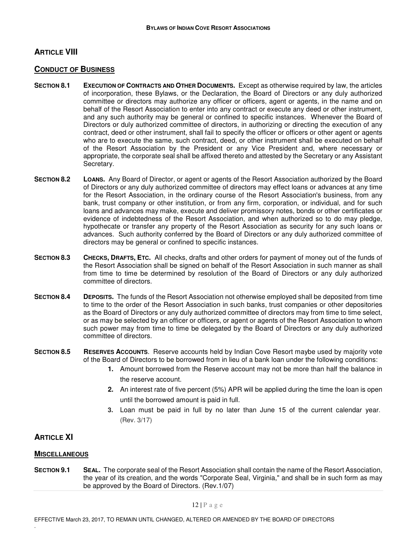## **ARTICLE VIII**

### **CONDUCT OF BUSINESS**

- **SECTION 8.1 EXECUTION OF CONTRACTS AND OTHER DOCUMENTS.** Except as otherwise required by law, the articles of incorporation, these Bylaws, or the Declaration, the Board of Directors or any duly authorized committee or directors may authorize any officer or officers, agent or agents, in the name and on behalf of the Resort Association to enter into any contract or execute any deed or other instrument, and any such authority may be general or confined to specific instances. Whenever the Board of Directors or duly authorized committee of directors, in authorizing or directing the execution of any contract, deed or other instrument, shall fail to specify the officer or officers or other agent or agents who are to execute the same, such contract, deed, or other instrument shall be executed on behalf of the Resort Association by the President or any Vice President and, where necessary or appropriate, the corporate seal shall be affixed thereto and attested by the Secretary or any Assistant Secretary.
- **SECTION 8.2 LOANS.** Any Board of Director, or agent or agents of the Resort Association authorized by the Board of Directors or any duly authorized committee of directors may effect loans or advances at any time for the Resort Association, in the ordinary course of the Resort Association's business, from any bank, trust company or other institution, or from any firm, corporation, or individual, and for such loans and advances may make, execute and deliver promissory notes, bonds or other certificates or evidence of indebtedness of the Resort Association, and when authorized so to do may pledge, hypothecate or transfer any property of the Resort Association as security for any such loans or advances. Such authority conferred by the Board of Directors or any duly authorized committee of directors may be general or confined to specific instances.
- **SECTION 8.3 CHECKS, DRAFTS, ETC.** All checks, drafts and other orders for payment of money out of the funds of the Resort Association shall be signed on behalf of the Resort Association in such manner as shall from time to time be determined by resolution of the Board of Directors or any duly authorized committee of directors.
- **SECTION 8.4 DEPOSITS.** The funds of the Resort Association not otherwise employed shall be deposited from time to time to the order of the Resort Association in such banks, trust companies or other depositories as the Board of Directors or any duly authorized committee of directors may from time to time select, or as may be selected by an officer or officers, or agent or agents of the Resort Association to whom such power may from time to time be delegated by the Board of Directors or any duly authorized committee of directors.
- **SECTION 8.5 RESERVES ACCOUNTS**. Reserve accounts held by Indian Cove Resort maybe used by majority vote of the Board of Directors to be borrowed from in lieu of a bank loan under the following conditions:
	- **1.** Amount borrowed from the Reserve account may not be more than half the balance in the reserve account.
	- **2.** An interest rate of five percent (5%) APR will be applied during the time the loan is open until the borrowed amount is paid in full.
	- **3.** Loan must be paid in full by no later than June 15 of the current calendar year. (Rev. 3/17)

### **ARTICLE XI**

.

### **MISCELLANEOUS**

**SECTION 9.1 SEAL.** The corporate seal of the Resort Association shall contain the name of the Resort Association, the year of its creation, and the words "Corporate Seal, Virginia," and shall be in such form as may be approved by the Board of Directors. (Rev.1/07)

12 | P a g e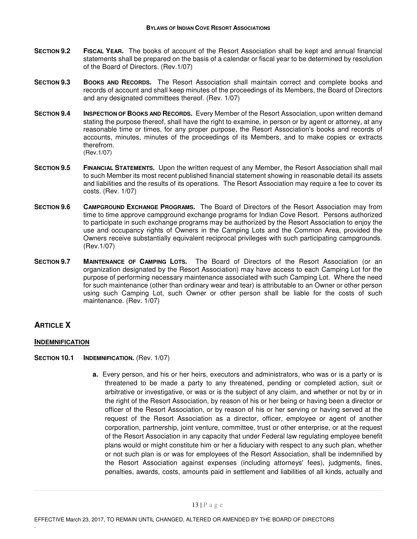- **SECTION 9.2 FISCAL YEAR.** The books of account of the Resort Association shall be kept and annual financial statements shall be prepared on the basis of a calendar or fiscal year to be determined by resolution of the Board of Directors. (Rev.1/07)
- **SECTION 9.3 BOOKS AND RECORDS.** The Resort Association shall maintain correct and complete books and records of account and shall keep minutes of the proceedings of its Members, the Board of Directors and any designated committees thereof. (Rev. 1/07)
- **SECTION 9.4 INSPECTION OF BOOKS AND RECORDS.** Every Member of the Resort Association, upon written demand stating the purpose thereof, shall have the right to examine, in person or by agent or attorney, at any reasonable time or times, for any proper purpose, the Resort Association's books and records of accounts, minutes, minutes of the proceedings of its Members, and to make copies or extracts therefrom. (Rev.1/07)
- **SECTION 9.5 FINANCIAL STATEMENTS.** Upon the written request of any Member, the Resort Association shall mail to such Member its most recent published financial statement showing in reasonable detail its assets and liabilities and the results of its operations. The Resort Association may require a fee to cover its costs. (Rev. 1/07)
- **SECTION 9.6 CAMPGROUND EXCHANGE PROGRAMS.** The Board of Directors of the Resort Association may from time to time approve campground exchange programs for Indian Cove Resort. Persons authorized to participate in such exchange programs may be authorized by the Resort Association to enjoy the use and occupancy rights of Owners in the Camping Lots and the Common Area, provided the Owners receive substantially equivalent reciprocal privileges with such participating campgrounds. (Rev.1/07)
- **SECTION 9.7 MAINTENANCE OF CAMPING LOTS.** The Board of Directors of the Resort Association (or an organization designated by the Resort Association) may have access to each Camping Lot for the purpose of performing necessary maintenance associated with such Camping Lot. Where the need for such maintenance (other than ordinary wear and tear) is attributable to an Owner or other person using such Camping Lot, such Owner or other person shall be liable for the costs of such maintenance. (Rev. 1/07)

# **ARTICLE X**

.

### **INDEMNIFICATION**

- **SECTION 10.1 INDEMNIFICATION.** (Rev. 1/07)
	- **a.** Every person, and his or her heirs, executors and administrators, who was or is a party or is threatened to be made a party to any threatened, pending or completed action, suit or arbitrative or investigative, or was or is the subject of any claim, and whether or not by or in the right of the Resort Association, by reason of his or her being or having been a director or officer of the Resort Association, or by reason of his or her serving or having served at the request of the Resort Association as a director, officer, employee or agent of another corporation, partnership, joint venture, committee, trust or other enterprise, or at the request of the Resort Association in any capacity that under Federal law regulating employee benefit plans would or might constitute him or her a fiduciary with respect to any such plan, whether or not such plan is or was for employees of the Resort Association, shall be indemnified by the Resort Association against expenses (including attorneys' fees), judgments, fines, penalties, awards, costs, amounts paid in settlement and liabilities of all kinds, actually and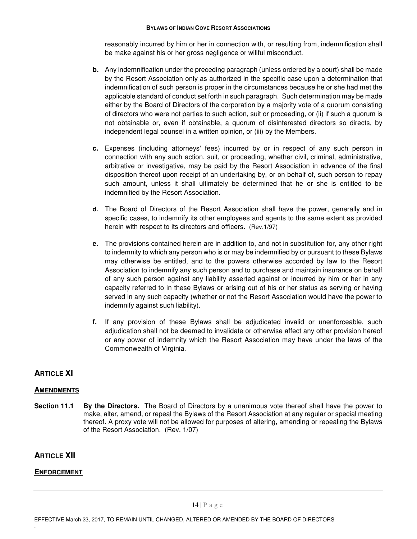reasonably incurred by him or her in connection with, or resulting from, indemnification shall be make against his or her gross negligence or willful misconduct.

- **b.** Any indemnification under the preceding paragraph (unless ordered by a court) shall be made by the Resort Association only as authorized in the specific case upon a determination that indemnification of such person is proper in the circumstances because he or she had met the applicable standard of conduct set forth in such paragraph. Such determination may be made either by the Board of Directors of the corporation by a majority vote of a quorum consisting of directors who were not parties to such action, suit or proceeding, or (ii) if such a quorum is not obtainable or, even if obtainable, a quorum of disinterested directors so directs, by independent legal counsel in a written opinion, or (iii) by the Members.
- **c.** Expenses (including attorneys' fees) incurred by or in respect of any such person in connection with any such action, suit, or proceeding, whether civil, criminal, administrative, arbitrative or investigative, may be paid by the Resort Association in advance of the final disposition thereof upon receipt of an undertaking by, or on behalf of, such person to repay such amount, unless it shall ultimately be determined that he or she is entitled to be indemnified by the Resort Association.
- **d.** The Board of Directors of the Resort Association shall have the power, generally and in specific cases, to indemnify its other employees and agents to the same extent as provided herein with respect to its directors and officers. (Rev.1/97)
- **e.** The provisions contained herein are in addition to, and not in substitution for, any other right to indemnity to which any person who is or may be indemnified by or pursuant to these Bylaws may otherwise be entitled, and to the powers otherwise accorded by law to the Resort Association to indemnify any such person and to purchase and maintain insurance on behalf of any such person against any liability asserted against or incurred by him or her in any capacity referred to in these Bylaws or arising out of his or her status as serving or having served in any such capacity (whether or not the Resort Association would have the power to indemnify against such liability).
- **f.** If any provision of these Bylaws shall be adjudicated invalid or unenforceable, such adjudication shall not be deemed to invalidate or otherwise affect any other provision hereof or any power of indemnity which the Resort Association may have under the laws of the Commonwealth of Virginia.

# **ARTICLE XI**

## **AMENDMENTS**

**Section 11.1 By the Directors.** The Board of Directors by a unanimous vote thereof shall have the power to make, alter, amend, or repeal the Bylaws of the Resort Association at any regular or special meeting thereof. A proxy vote will not be allowed for purposes of altering, amending or repealing the Bylaws of the Resort Association. (Rev. 1/07)

# **ARTICLE XII**

.

## **ENFORCEMENT**